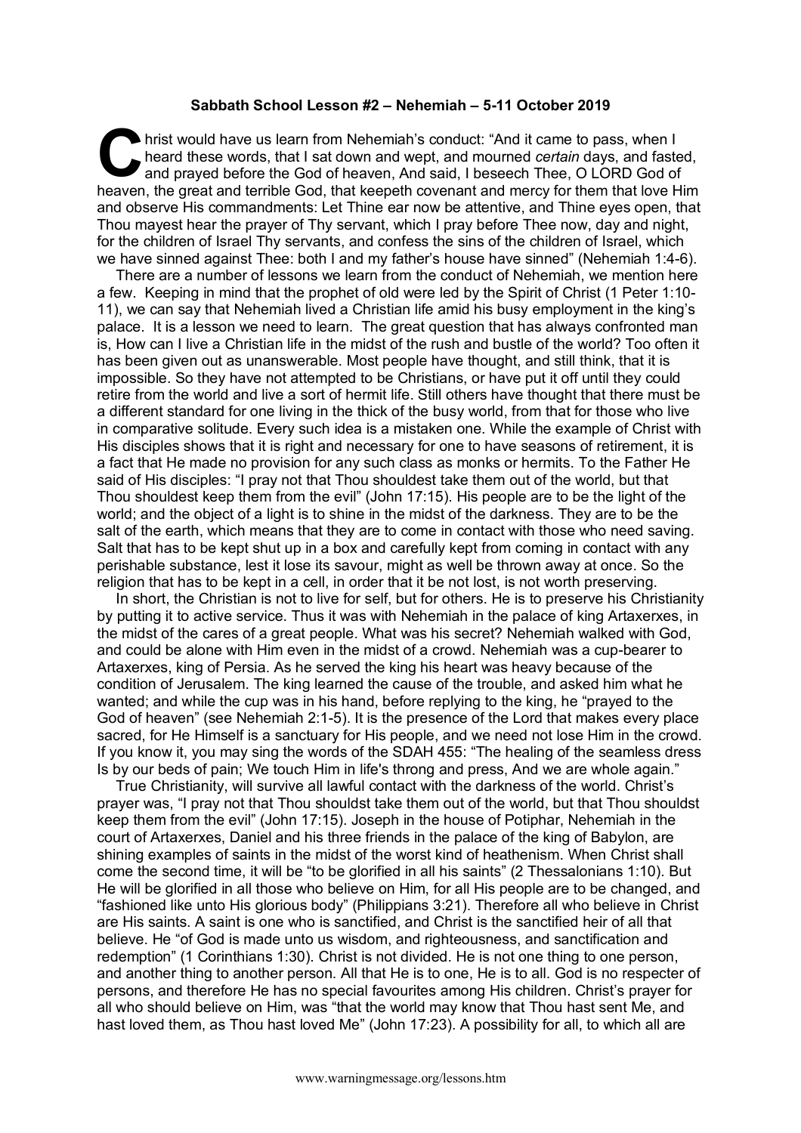## **Sabbath School Lesson #2 – Nehemiah – 5-11 October 2019**

hrist would have us learn from Nehemiah's conduct: "And it came to pass, when I heard these words, that I sat down and wept, and mourned *certain* days, and fasted, and prayed before the God of heaven, And said, I beseech Thee, O LORD God of heaven, the great and terrible God, that keepeth covenant and mercy for them that love Him and observe His commandments: Let Thine ear now be attentive, and Thine eyes open, that Thou mayest hear the prayer of Thy servant, which I pray before Thee now, day and night, for the children of Israel Thy servants, and confess the sins of the children of Israel, which we have sinned against Thee: both I and my father's house have sinned" (Nehemiah 1:4-6). C hris

There are a number of lessons we learn from the conduct of Nehemiah, we mention here a few. Keeping in mind that the prophet of old were led by the Spirit of Christ (1 Peter 1:10- 11), we can say that Nehemiah lived a Christian life amid his busy employment in the king's palace. It is a lesson we need to learn. The great question that has always confronted man is, How can I live a Christian life in the midst of the rush and bustle of the world? Too often it has been given out as unanswerable. Most people have thought, and still think, that it is impossible. So they have not attempted to be Christians, or have put it off until they could retire from the world and live a sort of hermit life. Still others have thought that there must be a different standard for one living in the thick of the busy world, from that for those who live in comparative solitude. Every such idea is a mistaken one. While the example of Christ with His disciples shows that it is right and necessary for one to have seasons of retirement, it is a fact that He made no provision for any such class as monks or hermits. To the Father He said of His disciples: "I pray not that Thou shouldest take them out of the world, but that Thou shouldest keep them from the evil" (John 17:15). His people are to be the light of the world; and the object of a light is to shine in the midst of the darkness. They are to be the salt of the earth, which means that they are to come in contact with those who need saving. Salt that has to be kept shut up in a box and carefully kept from coming in contact with any perishable substance, lest it lose its savour, might as well be thrown away at once. So the religion that has to be kept in a cell, in order that it be not lost, is not worth preserving.

In short, the Christian is not to live for self, but for others. He is to preserve his Christianity by putting it to active service. Thus it was with Nehemiah in the palace of king Artaxerxes, in the midst of the cares of a great people. What was his secret? Nehemiah walked with God, and could be alone with Him even in the midst of a crowd. Nehemiah was a cup-bearer to Artaxerxes, king of Persia. As he served the king his heart was heavy because of the condition of Jerusalem. The king learned the cause of the trouble, and asked him what he wanted; and while the cup was in his hand, before replying to the king, he "prayed to the God of heaven" (see Nehemiah 2:1-5). It is the presence of the Lord that makes every place sacred, for He Himself is a sanctuary for His people, and we need not lose Him in the crowd. If you know it, you may sing the words of the SDAH 455: "The healing of the seamless dress Is by our beds of pain; We touch Him in life's throng and press, And we are whole again."

True Christianity, will survive all lawful contact with the darkness of the world. Christ's prayer was, "I pray not that Thou shouldst take them out of the world, but that Thou shouldst keep them from the evil" (John 17:15). Joseph in the house of Potiphar, Nehemiah in the court of Artaxerxes, Daniel and his three friends in the palace of the king of Babylon, are shining examples of saints in the midst of the worst kind of heathenism. When Christ shall come the second time, it will be "to be glorified in all his saints" (2 Thessalonians 1:10). But He will be glorified in all those who believe on Him, for all His people are to be changed, and "fashioned like unto His glorious body" (Philippians 3:21). Therefore all who believe in Christ are His saints. A saint is one who is sanctified, and Christ is the sanctified heir of all that believe. He "of God is made unto us wisdom, and righteousness, and sanctification and redemption" (1 Corinthians 1:30). Christ is not divided. He is not one thing to one person, and another thing to another person. All that He is to one, He is to all. God is no respecter of persons, and therefore He has no special favourites among His children. Christ's prayer for all who should believe on Him, was "that the world may know that Thou hast sent Me, and hast loved them, as Thou hast loved Me" (John 17:23). A possibility for all, to which all are